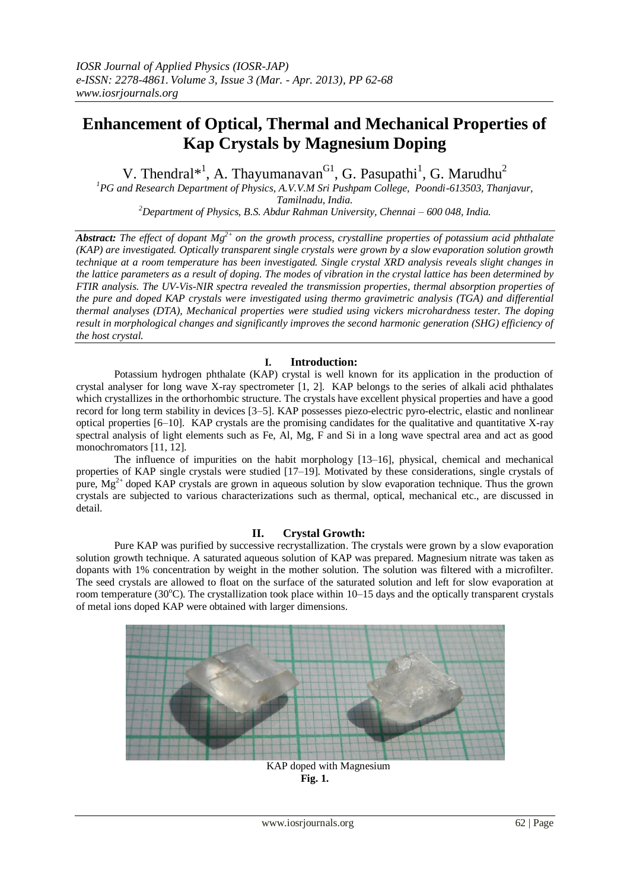# **Enhancement of Optical, Thermal and Mechanical Properties of Kap Crystals by Magnesium Doping**

V. Thendral<sup>\*1</sup>, A. Thayumanavan<sup>G1</sup>, G. Pasupathi<sup>1</sup>, G. Marudhu<sup>2</sup>

*<sup>1</sup>PG and Research Department of Physics, A.V.V.M Sri Pushpam College, Poondi-613503, Thanjavur, Tamilnadu, India.*

*<sup>2</sup>Department of Physics, B.S. Abdur Rahman University, Chennai – 600 048, India.*

Abstract: The effect of dopant  $Mg^{2+}$  on the growth process, crystalline properties of potassium acid phthalate *(KAP) are investigated. Optically transparent single crystals were grown by a slow evaporation solution growth technique at a room temperature has been investigated. Single crystal XRD analysis reveals slight changes in the lattice parameters as a result of doping. The modes of vibration in the crystal lattice has been determined by FTIR analysis. The UV-Vis-NIR spectra revealed the transmission properties, thermal absorption properties of the pure and doped KAP crystals were investigated using thermo gravimetric analysis (TGA) and differential thermal analyses (DTA), Mechanical properties were studied using vickers microhardness tester. The doping result in morphological changes and significantly improves the second harmonic generation (SHG) efficiency of the host crystal.*

# **I. Introduction:**

Potassium hydrogen phthalate (KAP) crystal is well known for its application in the production of crystal analyser for long wave X-ray spectrometer [1, 2]. KAP belongs to the series of alkali acid phthalates which crystallizes in the orthorhombic structure. The crystals have excellent physical properties and have a good record for long term stability in devices [3–5]. KAP possesses piezo-electric pyro-electric, elastic and nonlinear optical properties [6–10]. KAP crystals are the promising candidates for the qualitative and quantitative X-ray spectral analysis of light elements such as Fe, Al, Mg, F and Si in a long wave spectral area and act as good monochromators [11, 12].

The influence of impurities on the habit morphology [13–16], physical, chemical and mechanical properties of KAP single crystals were studied [17–19]. Motivated by these considerations, single crystals of pure,  $Mg^{2+}$  doped KAP crystals are grown in aqueous solution by slow evaporation technique. Thus the grown crystals are subjected to various characterizations such as thermal, optical, mechanical etc., are discussed in detail.

# **II. Crystal Growth:**

Pure KAP was purified by successive recrystallization. The crystals were grown by a slow evaporation solution growth technique. A saturated aqueous solution of KAP was prepared. Magnesium nitrate was taken as dopants with 1% concentration by weight in the mother solution. The solution was filtered with a microfilter. The seed crystals are allowed to float on the surface of the saturated solution and left for slow evaporation at room temperature (30 $^{\circ}$ C). The crystallization took place within 10–15 days and the optically transparent crystals of metal ions doped KAP were obtained with larger dimensions.



KAP doped with Magnesium **Fig. 1.**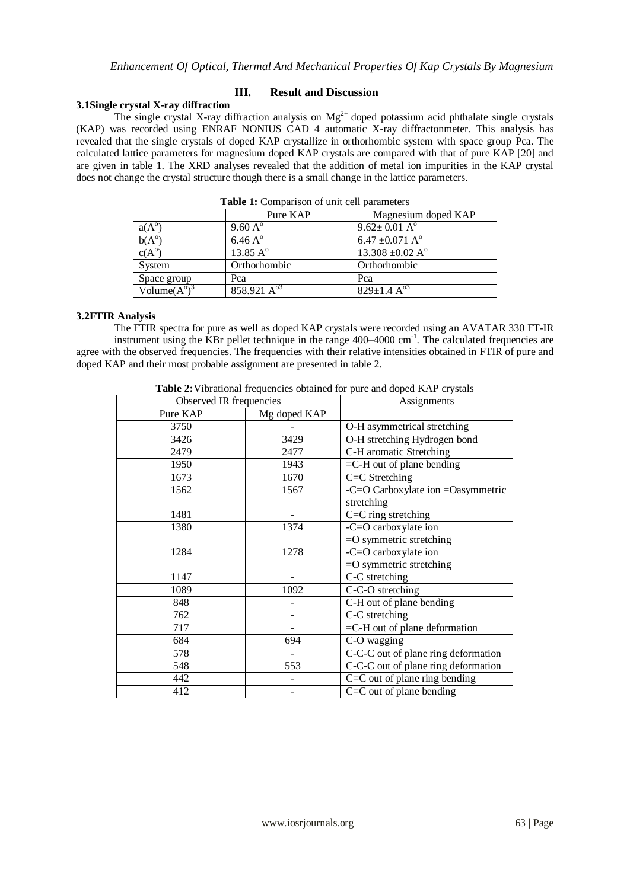## **III. Result and Discussion**

# **3.1Single crystal X-ray diffraction**

The single crystal X-ray diffraction analysis on  $Mg^{2+}$  doped potassium acid phthalate single crystals (KAP) was recorded using ENRAF NONIUS CAD 4 automatic X-ray diffractonmeter. This analysis has revealed that the single crystals of doped KAP crystallize in orthorhombic system with space group Pca. The calculated lattice parameters for magnesium doped KAP crystals are compared with that of pure KAP [20] and are given in table 1. The XRD analyses revealed that the addition of metal ion impurities in the KAP crystal does not change the crystal structure though there is a small change in the lattice parameters.

|                              | <b>rative 1.</b> Comparison of unit cen parameters<br>Pure KAP | Magnesium doped KAP               |
|------------------------------|----------------------------------------------------------------|-----------------------------------|
| $a(A^{\circ})$               | $9.60 A^{\circ}$                                               | $9.62 \pm 0.01 \text{ A}^{\circ}$ |
| $b(A^{\circ})$               | $6.46\,\mathrm{A}^{\circ}$                                     | 6.47 $\pm$ 0.071 A <sup>o</sup>   |
| $c(A^{\circ})$               | 13.85 $\overline{A}^{\circ}$                                   | 13.308 $\pm 0.02$ A <sup>o</sup>  |
| System                       | Orthorhombic                                                   | Orthorhombic                      |
| Space group                  | Pca                                                            | Pca                               |
| Volume $(A^{\circ})^{\circ}$ | $858.921 \text{ A}^{03}$                                       | $829 \pm 1.4 \text{ A}^{03}$      |

**Table 1:** Comparison of unit cell parameters

## **3.2FTIR Analysis**

The FTIR spectra for pure as well as doped KAP crystals were recorded using an AVATAR 330 FT-IR instrument using the KBr pellet technique in the range 400–4000 cm<sup>-1</sup>. The calculated frequencies are agree with the observed frequencies. The frequencies with their relative intensities obtained in FTIR of pure and doped KAP and their most probable assignment are presented in table 2.

| Table 2: Vibrational frequencies obtained for pure and doped KAP crystals |  |
|---------------------------------------------------------------------------|--|
|                                                                           |  |

| Observed IR frequencies |              | Assignments                                             |
|-------------------------|--------------|---------------------------------------------------------|
| Pure KAP                | Mg doped KAP |                                                         |
| 3750                    |              | O-H asymmetrical stretching                             |
| 3426                    | 3429         | O-H stretching Hydrogen bond                            |
| 2479                    | 2477         | C-H aromatic Stretching                                 |
| 1950                    | 1943         | $=$ C-H out of plane bending                            |
| 1673                    | 1670         | C=C Stretching                                          |
| 1562                    | 1567         | -C=O Carboxylate ion =Oasymmetric                       |
|                         |              | stretching                                              |
| 1481                    |              | C=C ring stretching                                     |
| 1380                    | 1374         | $\overline{-C}$ =O carboxylate ion                      |
|                         |              | $=$ O symmetric stretching                              |
| 1284                    | 1278         | -C=O carboxylate ion                                    |
|                         |              | $=$ O symmetric stretching                              |
| 1147                    |              | C-C stretching                                          |
| 1089                    | 1092         | C-C-O stretching                                        |
| 848                     |              | C-H out of plane bending                                |
| 762                     |              | C-C stretching                                          |
| 717                     |              | $=$ C-H out of plane deformation                        |
| 684                     | 694          | C-O wagging                                             |
| 578                     |              | C-C-C out of plane ring deformation                     |
| 548                     | 553          | C-C-C out of plane ring deformation                     |
| 442                     |              | $\overline{C} = \overline{C}$ out of plane ring bending |
| 412                     | -            | $C=C$ out of plane bending                              |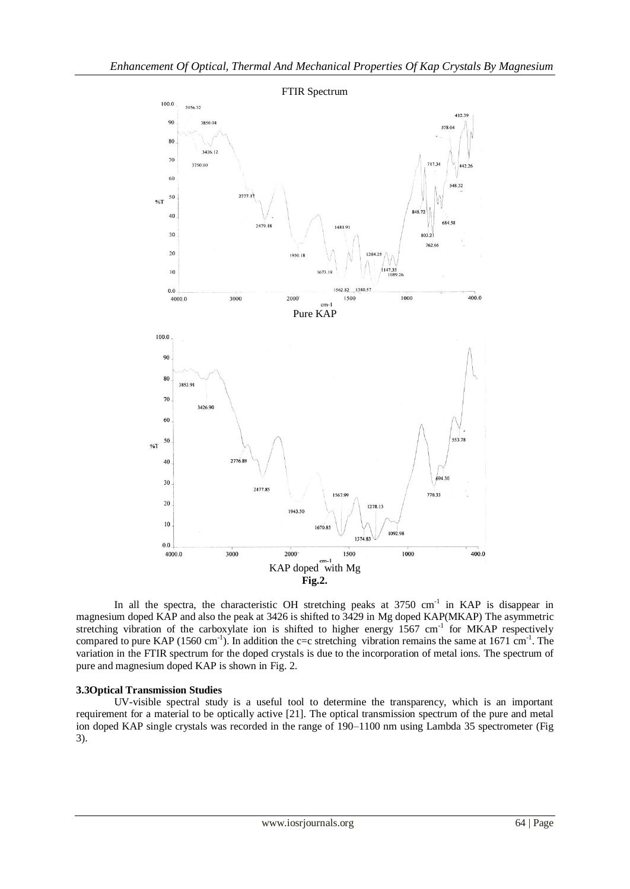

In all the spectra, the characteristic OH stretching peaks at  $3750 \text{ cm}^{-1}$  in KAP is disappear in magnesium doped KAP and also the peak at 3426 is shifted to 3429 in Mg doped KAP(MKAP) The asymmetric stretching vibration of the carboxylate ion is shifted to higher energy 1567 cm<sup>-1</sup> for MKAP respectively compared to pure KAP (1560 cm<sup>-1</sup>). In addition the c=c stretching vibration remains the same at 1671 cm<sup>-1</sup>. The variation in the FTIR spectrum for the doped crystals is due to the incorporation of metal ions. The spectrum of pure and magnesium doped KAP is shown in Fig. 2.

## **3.3Optical Transmission Studies**

UV-visible spectral study is a useful tool to determine the transparency, which is an important requirement for a material to be optically active [21]. The optical transmission spectrum of the pure and metal ion doped KAP single crystals was recorded in the range of 190–1100 nm using Lambda 35 spectrometer (Fig 3).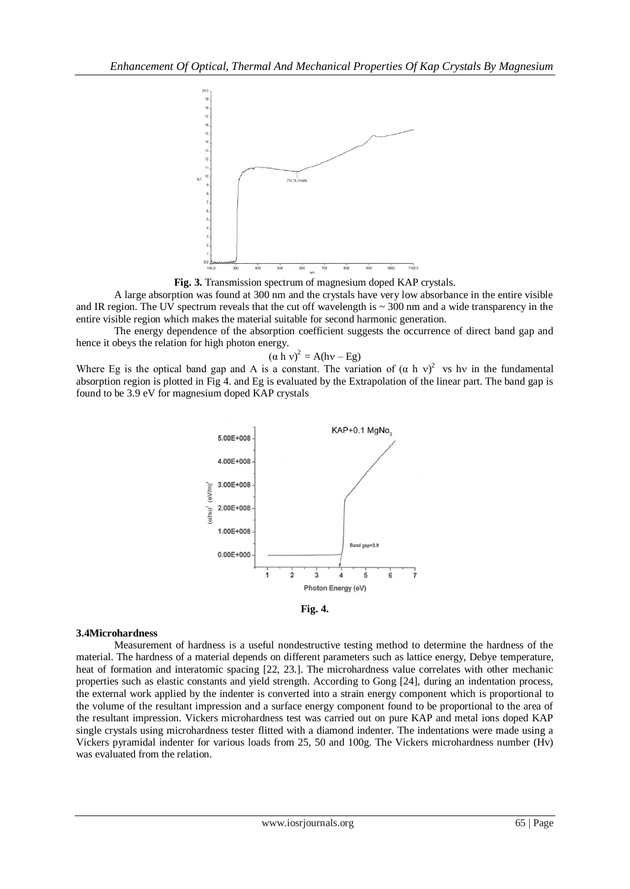

**Fig. 3.** Transmission spectrum of magnesium doped KAP crystals.

A large absorption was found at 300 nm and the crystals have very low absorbance in the entire visible and IR region. The UV spectrum reveals that the cut off wavelength is  $\sim$  300 nm and a wide transparency in the entire visible region which makes the material suitable for second harmonic generation.

The energy dependence of the absorption coefficient suggests the occurrence of direct band gap and hence it obeys the relation for high photon energy.

$$
(a h v)^2 = A(hv - Eg)
$$

Where Eg is the optical band gap and A is a constant. The variation of  $(\alpha h v)^2$  vs hv in the fundamental absorption region is plotted in Fig 4. and Eg is evaluated by the Extrapolation of the linear part. The band gap is found to be 3.9 eV for magnesium doped KAP crystals





# **3.4Microhardness**

Measurement of hardness is a useful nondestructive testing method to determine the hardness of the material. The hardness of a material depends on different parameters such as lattice energy, Debye temperature, heat of formation and interatomic spacing [22, 23.]. The microhardness value correlates with other mechanic properties such as elastic constants and yield strength. According to Gong [24], during an indentation process, the external work applied by the indenter is converted into a strain energy component which is proportional to the volume of the resultant impression and a surface energy component found to be proportional to the area of the resultant impression. Vickers microhardness test was carried out on pure KAP and metal ions doped KAP single crystals using microhardness tester flitted with a diamond indenter. The indentations were made using a Vickers pyramidal indenter for various loads from 25, 50 and 100g. The Vickers microhardness number (Hv) was evaluated from the relation.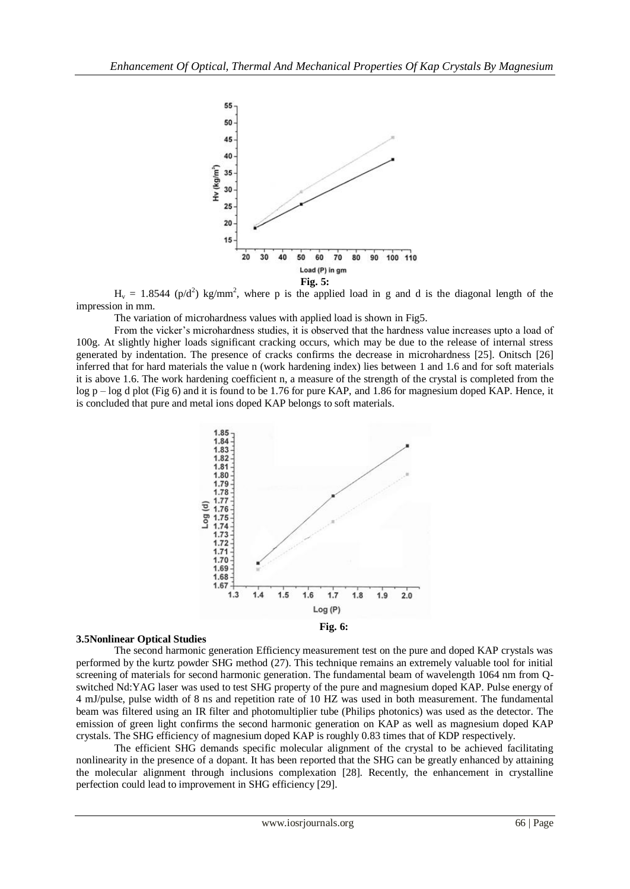

 $H_v = 1.8544$  (p/d<sup>2</sup>) kg/mm<sup>2</sup>, where p is the applied load in g and d is the diagonal length of the impression in mm.

The variation of microhardness values with applied load is shown in Fig5.

From the vicker's microhardness studies, it is observed that the hardness value increases upto a load of 100g. At slightly higher loads significant cracking occurs, which may be due to the release of internal stress generated by indentation. The presence of cracks confirms the decrease in microhardness [25]. Onitsch [26] inferred that for hard materials the value n (work hardening index) lies between 1 and 1.6 and for soft materials it is above 1.6. The work hardening coefficient n, a measure of the strength of the crystal is completed from the log p – log d plot (Fig 6) and it is found to be 1.76 for pure KAP, and 1.86 for magnesium doped KAP. Hence, it is concluded that pure and metal ions doped KAP belongs to soft materials.



### **3.5Nonlinear Optical Studies**

The second harmonic generation Efficiency measurement test on the pure and doped KAP crystals was performed by the kurtz powder SHG method (27). This technique remains an extremely valuable tool for initial screening of materials for second harmonic generation. The fundamental beam of wavelength 1064 nm from Qswitched Nd:YAG laser was used to test SHG property of the pure and magnesium doped KAP. Pulse energy of 4 mJ/pulse, pulse width of 8 ns and repetition rate of 10 HZ was used in both measurement. The fundamental beam was filtered using an IR filter and photomultiplier tube (Philips photonics) was used as the detector. The emission of green light confirms the second harmonic generation on KAP as well as magnesium doped KAP crystals. The SHG efficiency of magnesium doped KAP is roughly 0.83 times that of KDP respectively.

The efficient SHG demands specific molecular alignment of the crystal to be achieved facilitating nonlinearity in the presence of a dopant. It has been reported that the SHG can be greatly enhanced by attaining the molecular alignment through inclusions complexation [28]. Recently, the enhancement in crystalline perfection could lead to improvement in SHG efficiency [29].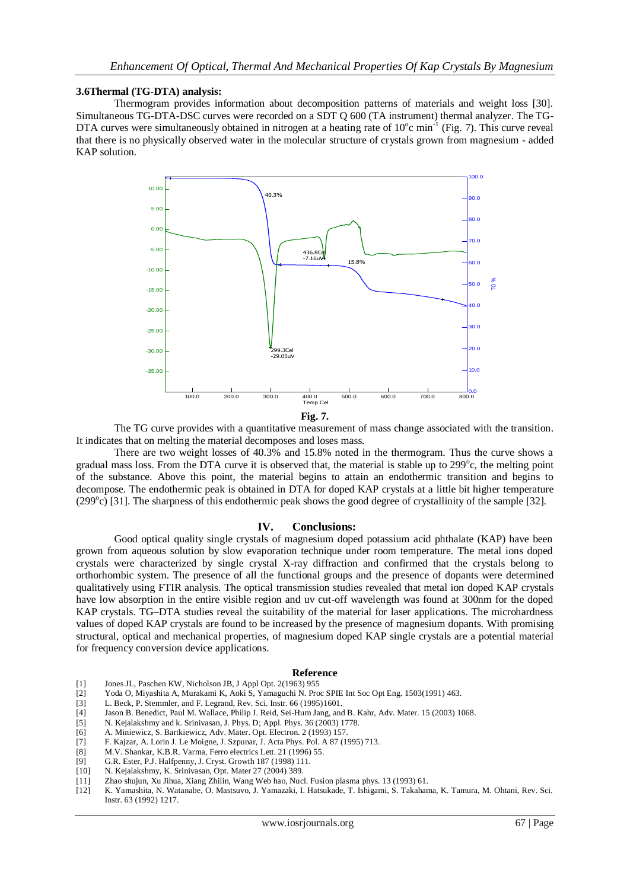### **3.6Thermal (TG-DTA) analysis:**

Thermogram provides information about decomposition patterns of materials and weight loss [30]. Simultaneous TG-DTA-DSC curves were recorded on a SDT Q 600 (TA instrument) thermal analyzer. The TG-DTA curves were simultaneously obtained in nitrogen at a heating rate of  $10^{\circ}$ c min<sup>-1</sup> (Fig. 7). This curve reveal that there is no physically observed water in the molecular structure of crystals grown from magnesium - added KAP solution.



The TG curve provides with a quantitative measurement of mass change associated with the transition. It indicates that on melting the material decomposes and loses mass.

There are two weight losses of 40.3% and 15.8% noted in the thermogram. Thus the curve shows a gradual mass loss. From the DTA curve it is observed that, the material is stable up to 299°c, the melting point of the substance. Above this point, the material begins to attain an endothermic transition and begins to decompose. The endothermic peak is obtained in DTA for doped KAP crystals at a little bit higher temperature (299°c) [31]. The sharpness of this endothermic peak shows the good degree of crystallinity of the sample [32].

## **IV. Conclusions:**

Good optical quality single crystals of magnesium doped potassium acid phthalate (KAP) have been grown from aqueous solution by slow evaporation technique under room temperature. The metal ions doped crystals were characterized by single crystal X-ray diffraction and confirmed that the crystals belong to orthorhombic system. The presence of all the functional groups and the presence of dopants were determined qualitatively using FTIR analysis. The optical transmission studies revealed that metal ion doped KAP crystals have low absorption in the entire visible region and uv cut-off wavelength was found at 300nm for the doped KAP crystals. TG–DTA studies reveal the suitability of the material for laser applications. The microhardness values of doped KAP crystals are found to be increased by the presence of magnesium dopants. With promising structural, optical and mechanical properties, of magnesium doped KAP single crystals are a potential material for frequency conversion device applications.

### **Reference**

- [1] Jones JL, Paschen KW, Nicholson JB, J Appl Opt. 2(1963) 955
- [2] Yoda O, Miyashita A, Murakami K, Aoki S, Yamaguchi N. Proc SPIE Int Soc Opt Eng. 1503(1991) 463.
- [3] L. Beck, P. Stemmler, and F. Legrand, Rev. Sci. Instr. 66 (1995)1601.
- [4] Jason B. Benedict, Paul M. Wallace, Philip J. Reid, Sei-Hum Jang, and B. Kahr, Adv. Mater. 15 (2003) 1068.<br>[5] N. Kejalakshmy and k. Srinivasan, J. Phys. D; Appl. Phys. 36 (2003) 1778.
- N. Kejalakshmy and k. Srinivasan, J. Phys. D; Appl. Phys. 36 (2003) 1778.
- [6] A. Miniewicz, S. Bartkiewicz, Adv. Mater. Opt. Electron. 2 (1993) 157.
- [7] F. Kajzar, A. Lorin J. Le Moigne, J. Szpunar, J. Acta Phys. Pol. A 87 (1995) 713.
- [8] M.V. Shankar, K.B.R. Varma, Ferro electrics Lett. 21 (1996) 55.<br>[9] G.R. Ester, P.J. Halfpenny, J. Cryst. Growth 187 (1998) 111.
- [9] G.R. Ester, P.J. Halfpenny, J. Cryst. Growth 187 (1998) 111.
- N. Kejalakshmy, K. Srinivasan, Opt. Mater 27 (2004) 389.
- [11] Zhao shujun, Xu Jihua, Xiang Zhilin, Wang Web hao, Nucl. Fusion plasma phys. 13 (1993) 61.
- [12] K. Yamashita, N. Watanabe, O. Mastsuvo, J. Yamazaki, I. Hatsukade, T. Ishigami, S. Takahama, K. Tamura, M. Ohtani, Rev. Sci. Instr. 63 (1992) 1217.